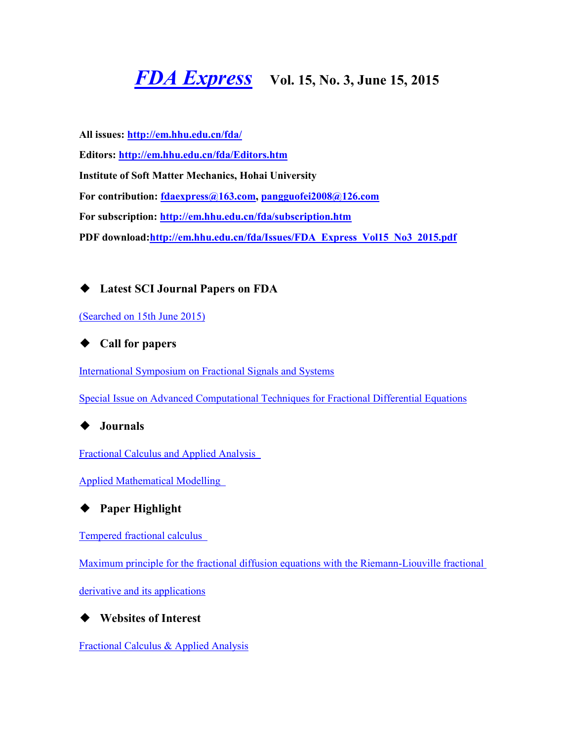# *[FDA Express](http://em.hhu.edu.cn/fda/index.htm)* **Vol. 15, No. 3, June 15, 2015**

**All issues:<http://em.hhu.edu.cn/fda/> Editors:<http://em.hhu.edu.cn/fda/Editors.htm> Institute of Soft Matter Mechanics, Hohai University For contribution: [fdaexpress@163.com,](mailto:fdaexpress@163.com) [pangguofei2008@126.com](mailto:fdaexpress@hhu.edu.cn) For subscription:<http://em.hhu.edu.cn/fda/subscription.htm> PDF download[:http://em.hhu.edu.cn/fda/Issues/FDA\\_Express\\_Vol15\\_No3\\_2015.pdf](http://em.hhu.edu.cn/fda/Issues/FDA_Express_Vol15_No3_2015.pdf)**

## **Latest SCI Journal Papers on FDA**

[\(Searched on 15th June 2015\)](file:///C:/Users/Administrator/AppData/Local/Microsoft/Windows/Temporary%20Internet%20Files/FrontPageTempDir/pvw2.htm%23(Searched%20on%2030%20September%202013))

◆ **Call for papers**

[International Symposium on Fractional Signals and Systems](file:///C:/Users/Administrator/AppData/Local/Microsoft/Windows/Temporary%20Internet%20Files/FrontPageTempDir/pvw2.htm%23International%20Symposium%20on%20Fractional%20Signals%20and%20Systems)

[Special Issue on Advanced Computational Techniques for Fractional Differential Equations](file:///C:/Users/Administrator/AppData/Local/Microsoft/Windows/Temporary%20Internet%20Files/FrontPageTempDir/pvw2.htm%23Special%20Issue%20on%20Advanced%20Computational%20Techniques)

◆ **Journals**

[Fractional Calculus and Applied Analysis](file:///C:/Users/Administrator/AppData/Local/Microsoft/Windows/Temporary%20Internet%20Files/FrontPageTempDir/pvw2.htm%23Fractional%20Calculus%20and%20Applied%20Analysis) 

[Applied Mathematical Modelling](file:///C:/Users/Administrator/AppData/Local/Microsoft/Windows/Temporary%20Internet%20Files/FrontPageTempDir/pvw2.htm%23Applied%20Mathematical%20Modelling) 

◆ **Paper Highlight**

[Tempered fractional calculus](file:///C:/Users/Administrator/AppData/Local/Microsoft/Windows/Temporary%20Internet%20Files/FrontPageTempDir/pvw2.htm%23Tempered%20fractional%20calculus) 

[Maximum principle for the fractional diffusion equations with the Riemann-Liouville fractional](file:///C:/Users/Administrator/AppData/Local/Microsoft/Windows/Temporary%20Internet%20Files/FrontPageTempDir/pvw2.htm%23Maximum%20principle%20for%20the%20fractional%20diffusion%20equations%20with%20the%20Riemann-Liouville%20fractional%20derivative%20and%20its%20applications) 

[derivative and its applications](file:///C:/Users/Administrator/AppData/Local/Microsoft/Windows/Temporary%20Internet%20Files/FrontPageTempDir/pvw2.htm%23Maximum%20principle%20for%20the%20fractional%20diffusion%20equations%20with%20the%20Riemann-Liouville%20fractional%20derivative%20and%20its%20applications)



◆ **Websites of Interest**

[Fractional Calculus & Applied Analysis](http://www.degruyter.com/view/j/fca)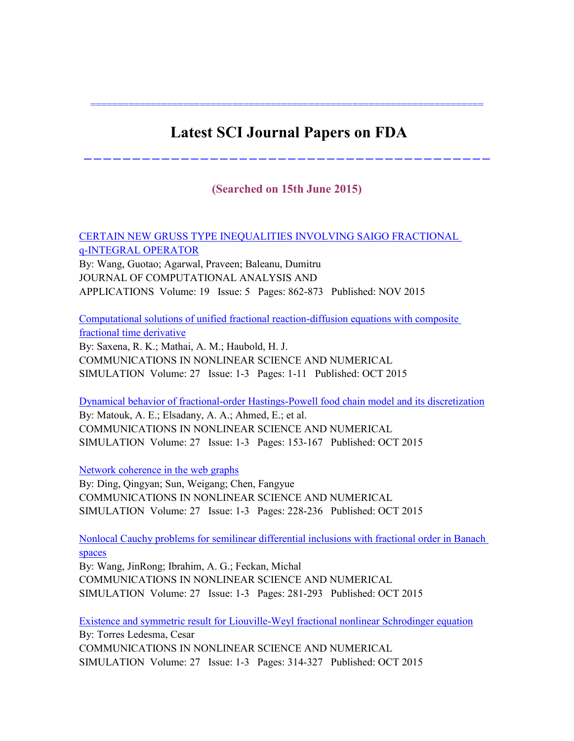# **Latest SCI Journal Papers on FDA**

========================================================================

------------------------------------------

### **(Searched on 15th June 2015)**

[CERTAIN NEW GRUSS TYPE INEQUALITIES INVOLVING SAIGO FRACTIONAL](http://apps.webofknowledge.com/full_record.do?product=WOS&search_mode=MarkedList&qid=5&SID=T1J2GBHfyAgostxV4Gn&page=1&doc=2&colName=WOS)  [q-INTEGRAL OPERATOR](http://apps.webofknowledge.com/full_record.do?product=WOS&search_mode=MarkedList&qid=5&SID=T1J2GBHfyAgostxV4Gn&page=1&doc=2&colName=WOS)

By: Wang, Guotao; Agarwal, Praveen; Baleanu, Dumitru JOURNAL OF COMPUTATIONAL ANALYSIS AND APPLICATIONS Volume: 19 Issue: 5 Pages: 862-873 Published: NOV 2015

[Computational solutions of unified fractional reaction-diffusion equations with composite](http://apps.webofknowledge.com/full_record.do?product=WOS&search_mode=MarkedList&qid=5&SID=T1J2GBHfyAgostxV4Gn&page=1&doc=3&colName=WOS)  [fractional time derivative](http://apps.webofknowledge.com/full_record.do?product=WOS&search_mode=MarkedList&qid=5&SID=T1J2GBHfyAgostxV4Gn&page=1&doc=3&colName=WOS)

By: Saxena, R. K.; Mathai, A. M.; Haubold, H. J. COMMUNICATIONS IN NONLINEAR SCIENCE AND NUMERICAL SIMULATION Volume: 27 Issue: 1-3 Pages: 1-11 Published: OCT 2015

[Dynamical behavior of fractional-order Hastings-Powell food chain model and its discretization](http://apps.webofknowledge.com/full_record.do?product=WOS&search_mode=MarkedList&qid=5&SID=T1J2GBHfyAgostxV4Gn&page=1&doc=4&colName=WOS) By: Matouk, A. E.; Elsadany, A. A.; Ahmed, E.; et al. COMMUNICATIONS IN NONLINEAR SCIENCE AND NUMERICAL SIMULATION Volume: 27 Issue: 1-3 Pages: 153-167 Published: OCT 2015

[Network coherence in the web graphs](http://apps.webofknowledge.com/full_record.do?product=WOS&search_mode=MarkedList&qid=5&SID=T1J2GBHfyAgostxV4Gn&page=1&doc=5&colName=WOS)

By: Ding, Qingyan; Sun, Weigang; Chen, Fangyue COMMUNICATIONS IN NONLINEAR SCIENCE AND NUMERICAL SIMULATION Volume: 27 Issue: 1-3 Pages: 228-236 Published: OCT 2015

[Nonlocal Cauchy problems for semilinear differential inclusions with fractional order in Banach](http://apps.webofknowledge.com/full_record.do?product=WOS&search_mode=MarkedList&qid=5&SID=T1J2GBHfyAgostxV4Gn&page=1&doc=6&colName=WOS)  [spaces](http://apps.webofknowledge.com/full_record.do?product=WOS&search_mode=MarkedList&qid=5&SID=T1J2GBHfyAgostxV4Gn&page=1&doc=6&colName=WOS)

By: Wang, JinRong; Ibrahim, A. G.; Feckan, Michal COMMUNICATIONS IN NONLINEAR SCIENCE AND NUMERICAL SIMULATION Volume: 27 Issue: 1-3 Pages: 281-293 Published: OCT 2015

[Existence and symmetric result for Liouville-Weyl fractional nonlinear Schrodinger equation](http://apps.webofknowledge.com/full_record.do?product=WOS&search_mode=MarkedList&qid=5&SID=T1J2GBHfyAgostxV4Gn&page=1&doc=7&colName=WOS) By: Torres Ledesma, Cesar COMMUNICATIONS IN NONLINEAR SCIENCE AND NUMERICAL SIMULATION Volume: 27 Issue: 1-3 Pages: 314-327 Published: OCT 2015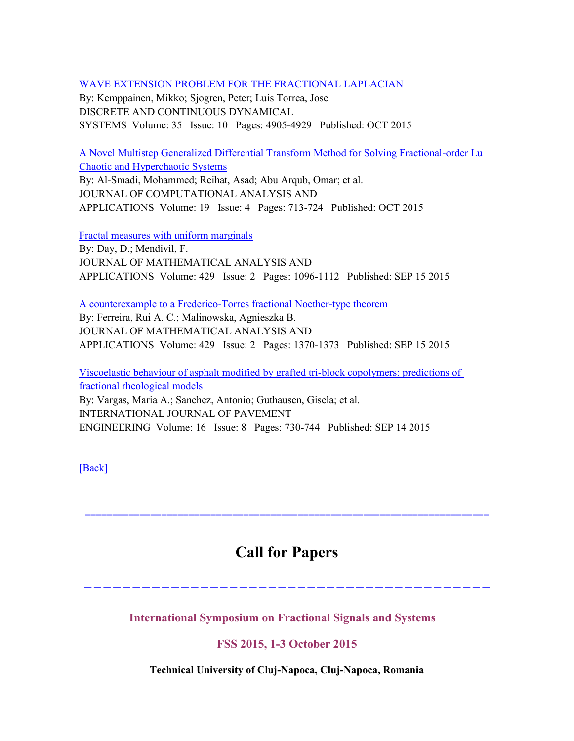[WAVE EXTENSION PROBLEM FOR THE FRACTIONAL LAPLACIAN](http://apps.webofknowledge.com/full_record.do?product=WOS&search_mode=MarkedList&qid=5&SID=T1J2GBHfyAgostxV4Gn&page=1&doc=8&colName=WOS)

By: Kemppainen, Mikko; Sjogren, Peter; Luis Torrea, Jose DISCRETE AND CONTINUOUS DYNAMICAL SYSTEMS Volume: 35 Issue: 10 Pages: 4905-4929 Published: OCT 2015

[A Novel Multistep Generalized Differential Transform Method for Solving Fractional-order Lu](http://apps.webofknowledge.com/full_record.do?product=WOS&search_mode=MarkedList&qid=5&SID=T1J2GBHfyAgostxV4Gn&page=1&doc=9&colName=WOS)  [Chaotic and Hyperchaotic Systems](http://apps.webofknowledge.com/full_record.do?product=WOS&search_mode=MarkedList&qid=5&SID=T1J2GBHfyAgostxV4Gn&page=1&doc=9&colName=WOS)

By: Al-Smadi, Mohammed; Reihat, Asad; Abu Arqub, Omar; et al. JOURNAL OF COMPUTATIONAL ANALYSIS AND APPLICATIONS Volume: 19 Issue: 4 Pages: 713-724 Published: OCT 2015

[Fractal measures with uniform marginals](http://apps.webofknowledge.com/full_record.do?product=WOS&search_mode=MarkedList&qid=5&SID=T1J2GBHfyAgostxV4Gn&page=1&doc=10&colName=WOS) By: Day, D.; Mendivil, F.

JOURNAL OF MATHEMATICAL ANALYSIS AND APPLICATIONS Volume: 429 Issue: 2 Pages: 1096-1112 Published: SEP 15 2015

[A counterexample to a Frederico-Torres fractional Noether-type theorem](http://apps.webofknowledge.com/full_record.do?product=WOS&search_mode=MarkedList&qid=5&SID=T1J2GBHfyAgostxV4Gn&page=2&doc=11&colName=WOS)

By: Ferreira, Rui A. C.; Malinowska, Agnieszka B. JOURNAL OF MATHEMATICAL ANALYSIS AND APPLICATIONS Volume: 429 Issue: 2 Pages: 1370-1373 Published: SEP 15 2015

[Viscoelastic behaviour of asphalt modified by grafted tri-block copolymers: predictions of](http://apps.webofknowledge.com/full_record.do?product=WOS&search_mode=MarkedList&qid=5&SID=T1J2GBHfyAgostxV4Gn&page=2&doc=12&colName=WOS)  [fractional rheological models](http://apps.webofknowledge.com/full_record.do?product=WOS&search_mode=MarkedList&qid=5&SID=T1J2GBHfyAgostxV4Gn&page=2&doc=12&colName=WOS) By: Vargas, Maria A.; Sanchez, Antonio; Guthausen, Gisela; et al. INTERNATIONAL JOURNAL OF PAVEMENT ENGINEERING Volume: 16 Issue: 8 Pages: 730-744 Published: SEP 14 2015

[\[Back\]](file:///C:/Users/Administrator/AppData/Local/Microsoft/Windows/Temporary%20Internet%20Files/FrontPageTempDir/pvw2.htm%231)

# **Call for Papers**

------------------------------------------

==========================================================================

**International Symposium on Fractional Signals and Systems** 

**FSS 2015, 1-3 October 2015**

**Technical University of Cluj-Napoca, Cluj-Napoca, Romania**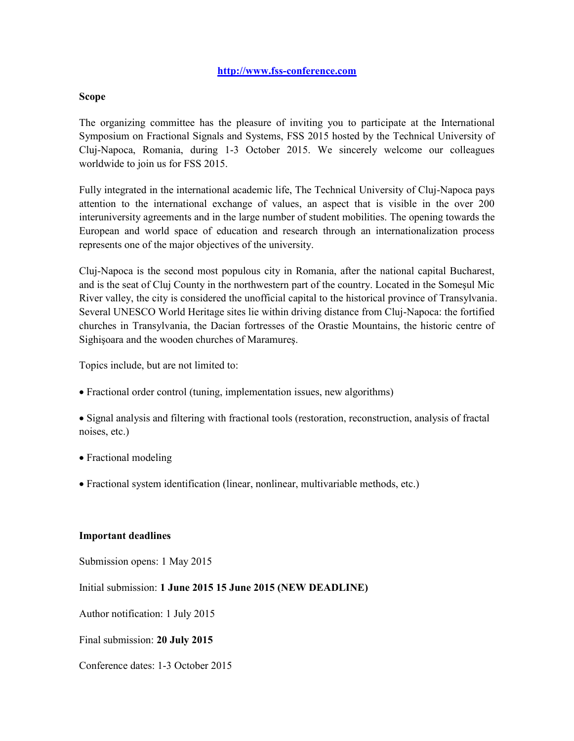#### **[http://www.fss-conference.com](http://www.fss-conference.com/)**

#### **Scope**

The organizing committee has the pleasure of inviting you to participate at the International Symposium on Fractional Signals and Systems, FSS 2015 hosted by the Technical University of Cluj-Napoca, Romania, during 1-3 October 2015. We sincerely welcome our colleagues worldwide to join us for FSS 2015.

Fully integrated in the international academic life, The Technical University of Cluj-Napoca pays attention to the international exchange of values, an aspect that is visible in the over 200 interuniversity agreements and in the large number of student mobilities. The opening towards the European and world space of education and research through an internationalization process represents one of the major objectives of the university.

Cluj-Napoca is the second most populous city in Romania, after the national capital Bucharest, and is the seat of Cluj County in the northwestern part of the country. Located in the Someşul Mic River valley, the city is considered the unofficial capital to the historical province of Transylvania. Several UNESCO World Heritage sites lie within driving distance from Cluj-Napoca: the fortified churches in Transylvania, the Dacian fortresses of the Orastie Mountains, the historic centre of Sighişoara and the wooden churches of Maramureş.

Topics include, but are not limited to:

Fractional order control (tuning, implementation issues, new algorithms)

 Signal analysis and filtering with fractional tools (restoration, reconstruction, analysis of fractal noises, etc.)

- Fractional modeling
- Fractional system identification (linear, nonlinear, multivariable methods, etc.)

#### **Important deadlines**

Submission opens: 1 May 2015

Initial submission: **1 June 2015 15 June 2015 (NEW DEADLINE)** 

Author notification: 1 July 2015

Final submission: **20 July 2015** 

Conference dates: 1-3 October 2015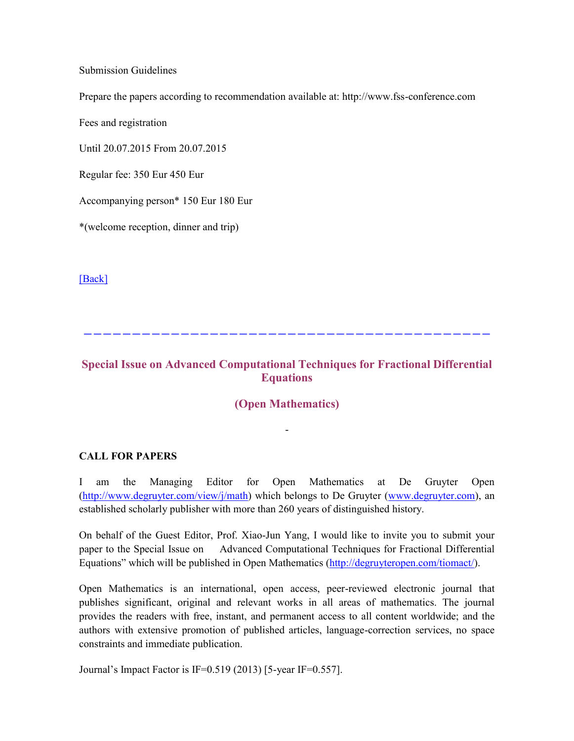Submission Guidelines

Prepare the papers according to recommendation available at: http://www.fss-conference.com

Fees and registration

Until 20.07.2015 From 20.07.2015

Regular fee: 350 Eur 450 Eur

Accompanying person\* 150 Eur 180 Eur

\*(welcome reception, dinner and trip)

[\[Back\]](file:///C:/Users/Administrator/AppData/Local/Microsoft/Windows/Temporary%20Internet%20Files/FrontPageTempDir/pvw2.htm%231)

### **Special Issue on Advanced Computational Techniques for Fractional Differential Equations**

------------------------------------------

#### **(Open Mathematics)**

-

#### **CALL FOR PAPERS**

I am the Managing Editor for Open Mathematics at De Gruyter Open [\(http://www.degruyter.com/view/j/math\)](http://www.degruyter.com/view/j/math) which belongs to De Gruyter [\(www.degruyter.com\)](http://www.degruyter.com/), an established scholarly publisher with more than 260 years of distinguished history.

On behalf of the Guest Editor, Prof. Xiao-Jun Yang, I would like to invite you to submit your paper to the Special Issue on Advanced Computational Techniques for Fractional Differential Equations" which will be published in Open Mathematics ([http://degruyteropen.com/tiomact/\)](http://degruyteropen.com/tiomact/).

Open Mathematics is an international, open access, peer-reviewed electronic journal that publishes significant, original and relevant works in all areas of mathematics. The journal provides the readers with free, instant, and permanent access to all content worldwide; and the authors with extensive promotion of published articles, language-correction services, no space constraints and immediate publication.

Journal's Impact Factor is IF=0.519 (2013) [5-year IF=0.557].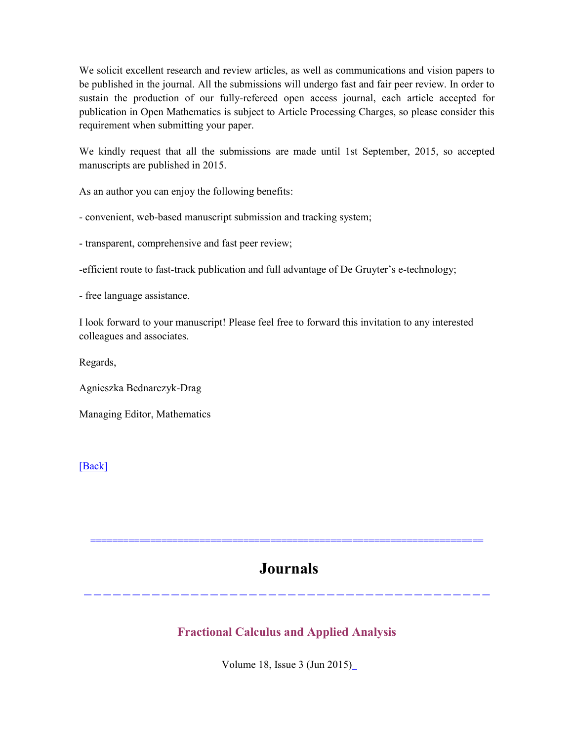We solicit excellent research and review articles, as well as communications and vision papers to be published in the journal. All the submissions will undergo fast and fair peer review. In order to sustain the production of our fully-refereed open access journal, each article accepted for publication in Open Mathematics is subject to Article Processing Charges, so please consider this requirement when submitting your paper.

We kindly request that all the submissions are made until 1st September, 2015, so accepted manuscripts are published in 2015.

As an author you can enjoy the following benefits:

- convenient, web-based manuscript submission and tracking system;

- transparent, comprehensive and fast peer review;

-efficient route to fast-track publication and full advantage of De Gruyter's e-technology;

- free language assistance.

I look forward to your manuscript! Please feel free to forward this invitation to any interested colleagues and associates.

Regards,

Agnieszka Bednarczyk-Drag

Managing Editor, Mathematics

#### [\[Back\]](file:///C:/Users/Administrator/AppData/Local/Microsoft/Windows/Temporary%20Internet%20Files/FrontPageTempDir/pvw2.htm%231)

# **Journals**

========================================================================

------------------------------------------

### **Fractional Calculus and Applied Analysis**

Volume 18, Issue 3 (Jun 2015[\)](http://www.degruyter.com/view/j/fca)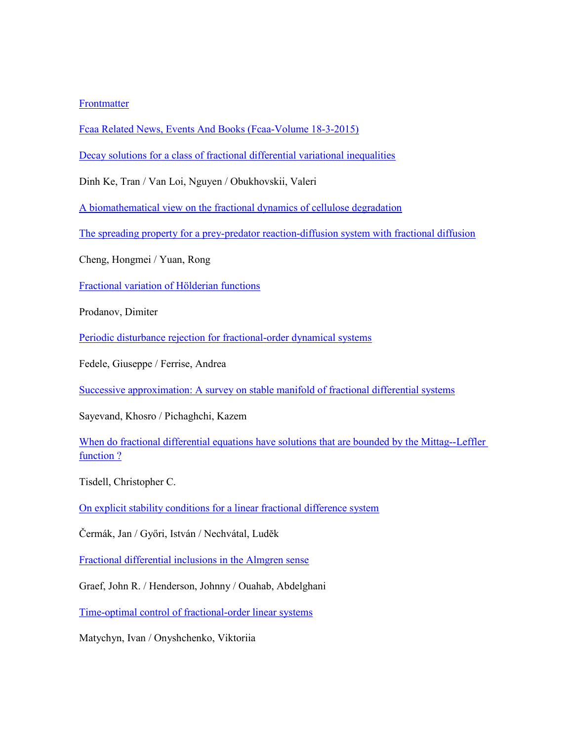#### [Frontmatter](http://www.degruyter.com/view/j/fca.2015.18.issue-3/fca-2015-frontmatter03/fca-2015-frontmatter03.xml?format=INT)

Fcaa [Related News, Events And Books \(Fcaa-Volume 18-3-2015\)](http://www.degruyter.com/view/j/fca.2015.18.issue-3/fca-2015-0032/fca-2015-0032.xml?format=INT)

[Decay solutions for a class of fractional differential variational inequalities](http://www.degruyter.com/view/j/fca.2015.18.issue-3/fca-2015-0033/fca-2015-0033.xml?format=INT)

Dinh Ke, Tran / Van Loi, Nguyen / Obukhovskii, Valeri

[A biomathematical view on the fractional dynamics of cellulose degradation](http://www.degruyter.com/view/j/fca.2015.18.issue-3/fca-2015-0034/fca-2015-0034.xml?format=INT)

[The spreading property for a prey-predator reaction-diffusion system with fractional diffusion](http://www.degruyter.com/view/j/fca.2015.18.issue-3/fca-2015-0035/fca-2015-0035.xml?format=INT)

Cheng, Hongmei / Yuan, Rong

[Fractional variation of Hölderian functions](http://www.degruyter.com/view/j/fca.2015.18.issue-3/fca-2015-0036/fca-2015-0036.xml?format=INT)

Prodanov, Dimiter

[Periodic disturbance rejection for fractional-order dynamical systems](http://www.degruyter.com/view/j/fca.2015.18.issue-3/fca-2015-0037/fca-2015-0037.xml?format=INT)

Fedele, Giuseppe / Ferrise, Andrea

[Successive approximation: A survey on stable manifold of fractional differential systems](http://www.degruyter.com/view/j/fca.2015.18.issue-3/fca-2015-0038/fca-2015-0038.xml?format=INT)

Sayevand, Khosro / Pichaghchi, Kazem

[When do fractional differential equations have solutions that are bounded by the Mittag--Leffler](http://www.degruyter.com/view/j/fca.2015.18.issue-3/fca-2015-0039/fca-2015-0039.xml?format=INT)  [function ?](http://www.degruyter.com/view/j/fca.2015.18.issue-3/fca-2015-0039/fca-2015-0039.xml?format=INT)

Tisdell, Christopher C.

[On explicit stability conditions for a linear fractional difference system](http://www.degruyter.com/view/j/fca.2015.18.issue-3/fca-2015-0040/fca-2015-0040.xml?format=INT)

Čermák, Jan / Győri, István / Nechvátal, Ludĕk

[Fractional differential inclusions in the Almgren sense](http://www.degruyter.com/view/j/fca.2015.18.issue-3/fca-2015-0041/fca-2015-0041.xml?format=INT)

Graef, John R. / Henderson, Johnny / Ouahab, Abdelghani

[Time-optimal control of fractional-order linear systems](http://www.degruyter.com/view/j/fca.2015.18.issue-3/fca-2015-0042/fca-2015-0042.xml?format=INT)

Matychyn, Ivan / Onyshchenko, Viktoriia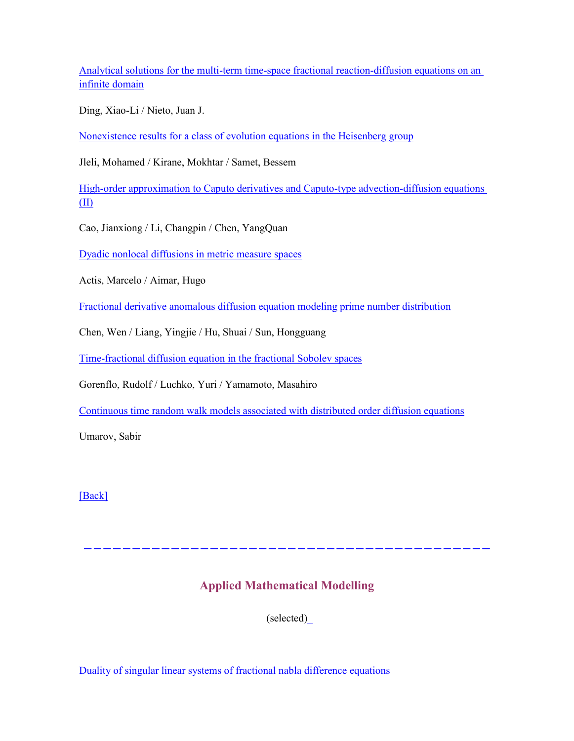[Analytical solutions for the multi-term time-space fractional reaction-diffusion equations on an](http://www.degruyter.com/view/j/fca.2015.18.issue-3/fca-2015-0043/fca-2015-0043.xml?format=INT)  [infinite domain](http://www.degruyter.com/view/j/fca.2015.18.issue-3/fca-2015-0043/fca-2015-0043.xml?format=INT)

Ding, Xiao-Li / Nieto, Juan J.

[Nonexistence results for a class of evolution equations in the Heisenberg group](http://www.degruyter.com/view/j/fca.2015.18.issue-3/fca-2015-0044/fca-2015-0044.xml?format=INT)

Jleli, Mohamed / Kirane, Mokhtar / Samet, Bessem

[High-order approximation to Caputo derivatives and Caputo-type advection-diffusion equations](http://www.degruyter.com/view/j/fca.2015.18.issue-3/fca-2015-0045/fca-2015-0045.xml?format=INT)  [\(II\)](http://www.degruyter.com/view/j/fca.2015.18.issue-3/fca-2015-0045/fca-2015-0045.xml?format=INT)

Cao, Jianxiong / Li, Changpin / Chen, YangQuan

[Dyadic nonlocal diffusions in metric measure spaces](http://www.degruyter.com/view/j/fca.2015.18.issue-3/fca-2015-0046/fca-2015-0046.xml?format=INT)

Actis, Marcelo / Aimar, Hugo

[Fractional derivative anomalous diffusion equation modeling prime number distribution](http://www.degruyter.com/view/j/fca.2015.18.issue-3/fca-2015-0047/fca-2015-0047.xml?format=INT)

Chen, Wen / Liang, Yingjie / Hu, Shuai / Sun, Hongguang

[Time-fractional diffusion equation in the fractional Sobolev spaces](http://www.degruyter.com/view/j/fca.2015.18.issue-3/fca-2015-0048/fca-2015-0048.xml?format=INT)

Gorenflo, Rudolf / Luchko, Yuri / Yamamoto, Masahiro

[Continuous time random walk models associated with distributed order diffusion equations](http://www.degruyter.com/view/j/fca.2015.18.issue-3/fca-2015-0049/fca-2015-0049.xml?format=INT)

Umarov, Sabir

[\[Back\]](file:///C:/Users/Administrator/AppData/Local/Microsoft/Windows/Temporary%20Internet%20Files/FrontPageTempDir/pvw2.htm%231)

### **Applied Mathematical Modelling**

------------------------------------------

(selected[\)](http://www.degruyter.com/view/j/fca)

Duality of singular linear systems of fractional nabla difference equations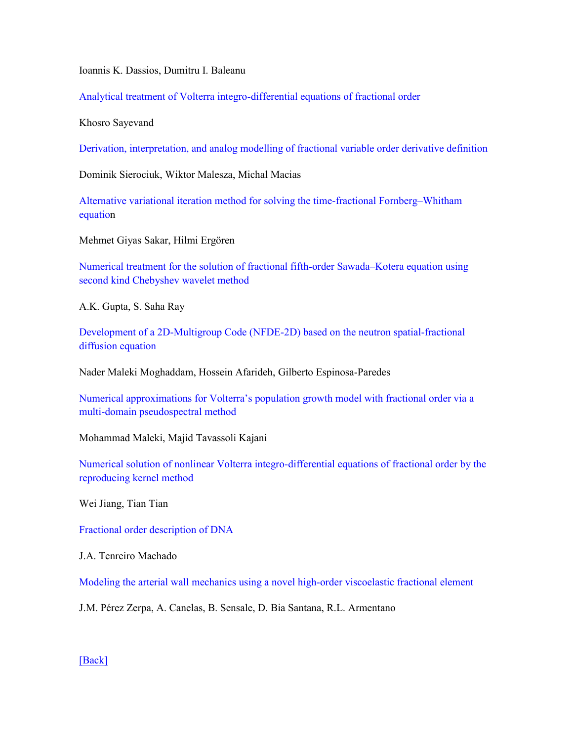Ioannis K. Dassios, Dumitru I. Baleanu

Analytical treatment of Volterra integro-differential equations of fractional order

Khosro Sayevand

Derivation, interpretation, and analog modelling of fractional variable order derivative definition

Dominik Sierociuk, Wiktor Malesza, Michal Macias

Alternative variational iteration method for solving the time-fractional Fornberg–Whitham equation

Mehmet Giyas Sakar, Hilmi Ergören

Numerical treatment for the solution of fractional fifth-order Sawada–Kotera equation using second kind Chebyshev wavelet method

A.K. Gupta, S. Saha Ray

Development of a 2D-Multigroup Code (NFDE-2D) based on the neutron spatial-fractional diffusion equation

Nader Maleki Moghaddam, Hossein Afarideh, Gilberto Espinosa-Paredes

Numerical approximations for Volterra's population growth model with fractional order via a multi-domain pseudospectral method

Mohammad Maleki, Majid Tavassoli Kajani

Numerical solution of nonlinear Volterra integro-differential equations of fractional order by the reproducing kernel method

Wei Jiang, Tian Tian

Fractional order description of DNA

J.A. Tenreiro Machado

Modeling the arterial wall mechanics using a novel high-order viscoelastic fractional element

J.M. Pérez Zerpa, A. Canelas, B. Sensale, D. Bia Santana, R.L. Armentano

[\[Back\]](file:///C:/Users/Administrator/AppData/Local/Microsoft/Windows/Temporary%20Internet%20Files/FrontPageTempDir/pvw2.htm%231)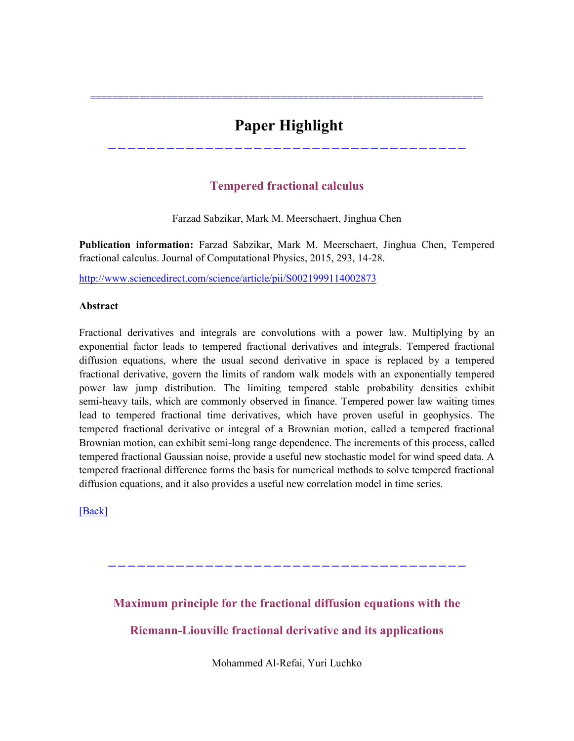# **Paper Highlight**

========================================================================

**Tempered fractional calculus** 

-------------------------------------

Farzad Sabzikar, Mark M. Meerschaert, Jinghua Chen

**Publication information:** Farzad Sabzikar, Mark M. Meerschaert, Jinghua Chen, Tempered fractional calculus. Journal of Computational Physics, 2015, 293, 14-28.

<http://www.sciencedirect.com/science/article/pii/S0021999114002873>

#### **Abstract**

Fractional derivatives and integrals are convolutions with a power law. Multiplying by an exponential factor leads to tempered fractional derivatives and integrals. Tempered fractional diffusion equations, where the usual second derivative in space is replaced by a tempered fractional derivative, govern the limits of random walk models with an exponentially tempered power law jump distribution. The limiting tempered stable probability densities exhibit semi-heavy tails, which are commonly observed in finance. Tempered power law waiting times lead to tempered fractional time derivatives, which have proven useful in geophysics. The tempered fractional derivative or integral of a Brownian motion, called a tempered fractional Brownian motion, can exhibit semi-long range dependence. The increments of this process, called tempered fractional Gaussian noise, provide a useful new stochastic model for wind speed data. A tempered fractional difference forms the basis for numerical methods to solve tempered fractional diffusion equations, and it also provides a useful new correlation model in time series.

[\[Back\]](file:///C:/Users/Administrator/AppData/Local/Microsoft/Windows/Temporary%20Internet%20Files/FrontPageTempDir/pvw2.htm%231)

**Maximum principle for the fractional diffusion equations with the** 

-------------------------------------

**Riemann-Liouville fractional derivative and its applications**

Mohammed Al-Refai, Yuri Luchko